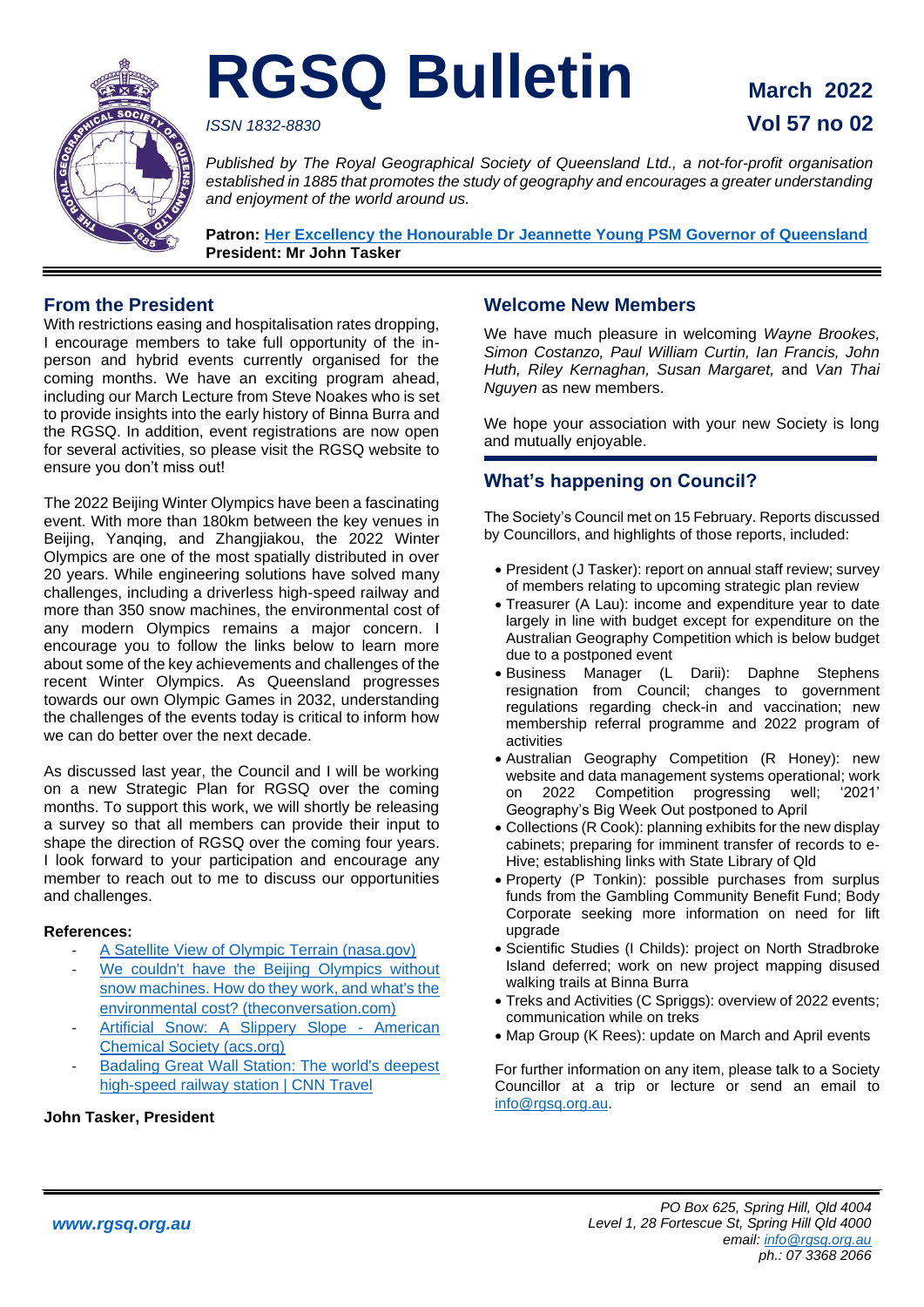

# **RGSQ Bulletin March 2022**

## *ISSN 1832-8830* **Vol 57 no 02**

*Published by The Royal Geographical Society of Queensland Ltd., a not-for-profit organisation established in 1885 that promotes the study of geography and encourages a greater understanding and enjoyment of the world around us.*

**Patron: Her Excellency the Honourable Dr [Jeannette Young PSM Governor of Queensland](https://www.govhouse.qld.gov.au/the-governor-of-queensland/about-the-governor/the-governor-s-biography) President: Mr John Tasker**

## **From the President**

With restrictions easing and hospitalisation rates dropping, I encourage members to take full opportunity of the inperson and hybrid events currently organised for the coming months. We have an exciting program ahead, including our March Lecture from Steve Noakes who is set to provide insights into the early history of Binna Burra and the RGSQ. In addition, event registrations are now open for several activities, so please visit the RGSQ website to ensure you don't miss out!

The 2022 Beijing Winter Olympics have been a fascinating event. With more than 180km between the key venues in Beijing, Yanqing, and Zhangjiakou, the 2022 Winter Olympics are one of the most spatially distributed in over 20 years. While engineering solutions have solved many challenges, including a driverless high-speed railway and more than 350 snow machines, the environmental cost of any modern Olympics remains a major concern. I encourage you to follow the links below to learn more about some of the key achievements and challenges of the recent Winter Olympics. As Queensland progresses towards our own Olympic Games in 2032, understanding the challenges of the events today is critical to inform how we can do better over the next decade.

As discussed last year, the Council and I will be working on a new Strategic Plan for RGSQ over the coming months. To support this work, we will shortly be releasing a survey so that all members can provide their input to shape the direction of RGSQ over the coming four years. I look forward to your participation and encourage any member to reach out to me to discuss our opportunities and challenges.

### **References:**

- [A Satellite View of Olympic Terrain \(nasa.gov\)](https://earthobservatory.nasa.gov/images/149430/a-satellite-view-of-olympic-terrain)
- [We couldn't have the Beijing Olympics without](https://theconversation.com/we-couldnt-have-the-beijing-olympics-without-snow-machines-how-do-they-work-and-whats-the-environmental-cost-176795) [snow machines. How do they work, and what's the](https://theconversation.com/we-couldnt-have-the-beijing-olympics-without-snow-machines-how-do-they-work-and-whats-the-environmental-cost-176795)  [environmental cost? \(theconversation.com\)](https://theconversation.com/we-couldnt-have-the-beijing-olympics-without-snow-machines-how-do-they-work-and-whats-the-environmental-cost-176795)
- [Artificial Snow: A Slippery Slope -](https://www.acs.org/content/acs/en/education/resources/highschool/chemmatters/past-issues/2018-2019/december-2018/artificial-snow-a-slippery-slope.html) American [Chemical Society \(acs.org\)](https://www.acs.org/content/acs/en/education/resources/highschool/chemmatters/past-issues/2018-2019/december-2018/artificial-snow-a-slippery-slope.html)
- Badaling Great Wall Station: The world's deepest high-speed [railway station | CNN Travel](https://edition.cnn.com/travel/article/badaling-great-wall-station-high-speed-railway-intl-hnk/index.html)

### **John Tasker, President**

## **Welcome New Members**

We have much pleasure in welcoming *Wayne Brookes, Simon Costanzo, Paul William Curtin, Ian Francis, John Huth, Riley Kernaghan, Susan Margaret,* and *Van Thai Nguyen* as new members.

We hope your association with your new Society is long and mutually enjoyable.

## **What's happening on Council?**

The Society's Council met on 15 February. Reports discussed by Councillors, and highlights of those reports, included:

- President (J Tasker): report on annual staff review; survey of members relating to upcoming strategic plan review
- Treasurer (A Lau): income and expenditure year to date largely in line with budget except for expenditure on the Australian Geography Competition which is below budget due to a postponed event
- Business Manager (L Darii): Daphne Stephens resignation from Council; changes to government regulations regarding check-in and vaccination; new membership referral programme and 2022 program of activities
- Australian Geography Competition (R Honey): new website and data management systems operational; work on 2022 Competition progressing well; '2021' Geography's Big Week Out postponed to April
- Collections (R Cook): planning exhibits for the new display cabinets; preparing for imminent transfer of records to e-Hive; establishing links with State Library of Qld
- Property (P Tonkin): possible purchases from surplus funds from the Gambling Community Benefit Fund; Body Corporate seeking more information on need for lift upgrade
- Scientific Studies (I Childs): project on North Stradbroke Island deferred; work on new project mapping disused walking trails at Binna Burra
- Treks and Activities (C Spriggs): overview of 2022 events; communication while on treks
- Map Group (K Rees): update on March and April events

For further information on any item, please talk to a Society Councillor at a trip or lecture or send an email to [info@rgsq.org.au.](mailto:info@rgsq.org.au)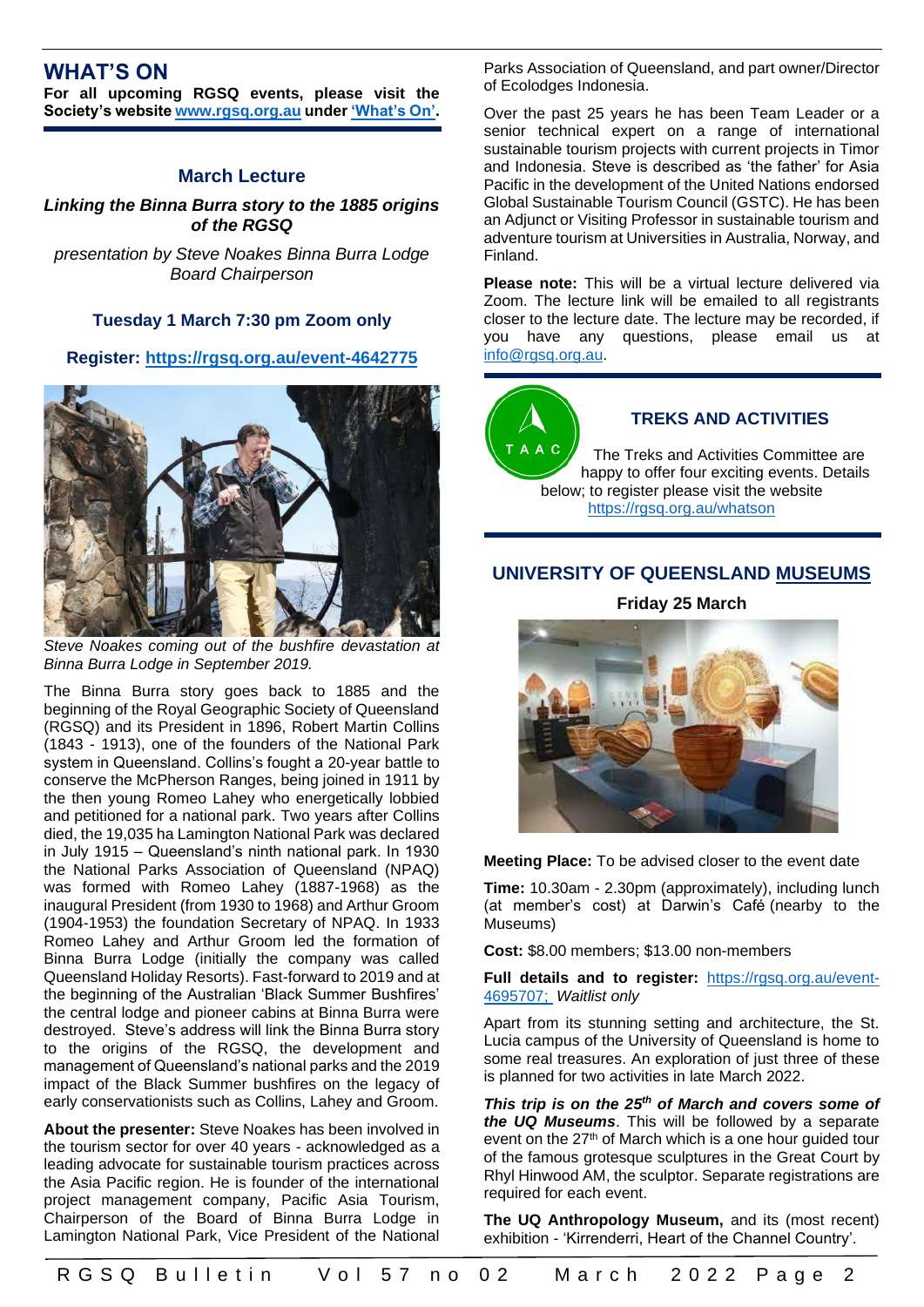## **WHAT'S ON**

**For all upcoming RGSQ events, please visit the Society's website [www.rgsq.org.au](http://www.rgsq.org.au/) unde[r 'What's On'.](https://rgsq.org.au/whatson)**

## **March Lecture**

*Linking the Binna Burra story to the 1885 origins of the RGSQ*

*presentation by Steve Noakes Binna Burra Lodge Board Chairperson*

### **Tuesday 1 March 7:30 pm Zoom only**

#### **Register:<https://rgsq.org.au/event-4642775>**



*Steve Noakes coming out of the bushfire devastation at Binna Burra Lodge in September 2019.*

The Binna Burra story goes back to 1885 and the beginning of the Royal Geographic Society of Queensland (RGSQ) and its President in 1896, Robert Martin Collins (1843 - 1913), one of the founders of the National Park system in Queensland. Collins's fought a 20-year battle to conserve the McPherson Ranges, being joined in 1911 by the then young Romeo Lahey who energetically lobbied and petitioned for a national park. Two years after Collins died, the 19,035 ha Lamington National Park was declared in July 1915 – Queensland's ninth national park. In 1930 the National Parks Association of Queensland (NPAQ) was formed with Romeo Lahey (1887-1968) as the inaugural President (from 1930 to 1968) and Arthur Groom (1904-1953) the foundation Secretary of NPAQ. In 1933 Romeo Lahey and Arthur Groom led the formation of Binna Burra Lodge (initially the company was called Queensland Holiday Resorts). Fast-forward to 2019 and at the beginning of the Australian 'Black Summer Bushfires' the central lodge and pioneer cabins at Binna Burra were destroyed. Steve's address will link the Binna Burra story to the origins of the RGSQ, the development and management of Queensland's national parks and the 2019 impact of the Black Summer bushfires on the legacy of early conservationists such as Collins, Lahey and Groom.

**About the presenter:** Steve Noakes has been involved in the tourism sector for over 40 years - acknowledged as a leading advocate for sustainable tourism practices across the Asia Pacific region. He is founder of the international project management company, Pacific Asia Tourism, Chairperson of the Board of Binna Burra Lodge in Lamington National Park, Vice President of the National Parks Association of Queensland, and part owner/Director of Ecolodges Indonesia.

Over the past 25 years he has been Team Leader or a senior technical expert on a range of international sustainable tourism projects with current projects in Timor and Indonesia. Steve is described as 'the father' for Asia Pacific in the development of the United Nations endorsed Global Sustainable Tourism Council (GSTC). He has been an Adjunct or Visiting Professor in sustainable tourism and adventure tourism at Universities in Australia, Norway, and Finland.

**Please note:** This will be a virtual lecture delivered via Zoom. The lecture link will be emailed to all registrants closer to the lecture date. The lecture may be recorded, if you have any questions, please email us at [info@rgsq.org.au.](mailto:info@rgsq.org.au)



## **TREKS AND ACTIVITIES**

The Treks and Activities Committee are happy to offer four exciting events. Details below; to register please visit the website <https://rgsq.org.au/whatson>

## **UNIVERSITY OF QUEENSLAND MUSEUMS**

**Friday 25 March** 



**Meeting Place:** To be advised closer to the event date

**Time:** 10.30am - 2.30pm (approximately), including lunch (at member's cost) at Darwin's Café (nearby to the Museums)

**Cost:** \$8.00 members; \$13.00 non-members

**Full details and to register:** [https://rgsq.org.au/event-](https://rgsq.org.au/event-4695707)[4695707;](https://rgsq.org.au/event-4695707) *Waitlist only*

Apart from its stunning setting and architecture, the St. Lucia campus of the University of Queensland is home to some real treasures. An exploration of just three of these is planned for two activities in late March 2022.

*This trip is on the 25th of March and covers some of the UQ Museums*. This will be followed by a separate event on the 27<sup>th</sup> of March which is a one hour guided tour of the famous grotesque sculptures in the Great Court by Rhyl Hinwood AM, the sculptor. Separate registrations are required for each event.

**The UQ Anthropology Museum,** and its (most recent) exhibition - 'Kirrenderri, Heart of the Channel Country'.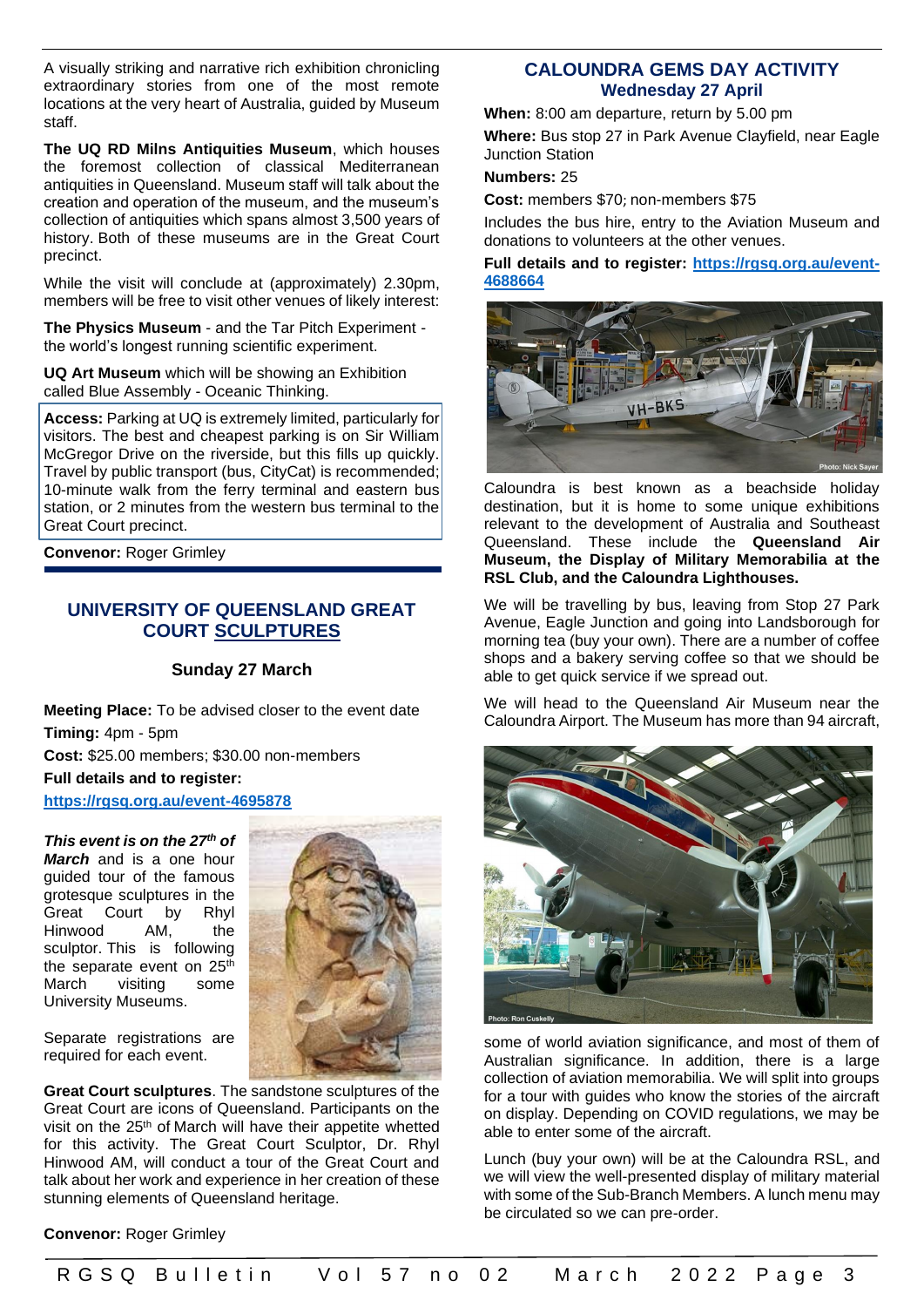A visually striking and narrative rich exhibition chronicling extraordinary stories from one of the most remote locations at the very heart of Australia, guided by Museum staff.

**The UQ RD Milns Antiquities Museum**, which houses the foremost collection of classical Mediterranean antiquities in Queensland. Museum staff will talk about the creation and operation of the museum, and the museum's collection of antiquities which spans almost 3,500 years of history. Both of these museums are in the Great Court precinct.

While the visit will conclude at (approximately) 2.30pm, members will be free to visit other venues of likely interest:

**The Physics Museum** - and the Tar Pitch Experiment the world's longest running scientific experiment.

**UQ Art Museum** which will be showing an Exhibition called Blue Assembly - Oceanic Thinking.

**Access:** Parking at UQ is extremely limited, particularly for visitors. The best and cheapest parking is on Sir William McGregor Drive on the riverside, but this fills up quickly. Travel by public transport (bus, CityCat) is recommended; 10-minute walk from the ferry terminal and eastern bus station, or 2 minutes from the western bus terminal to the Great Court precinct.

**Convenor:** Roger Grimley

## **UNIVERSITY OF QUEENSLAND GREAT COURT SCULPTURES**

### **Sunday 27 March**

**Meeting Place:** To be advised closer to the event date **Timing:** 4pm - 5pm

**Cost:** \$25.00 members; \$30.00 non-members **Full details and to register:** 

**<https://rgsq.org.au/event-4695878>**

*This event is on the 27th of March* and is a one hour guided tour of the famous grotesque sculptures in the Great Court by Rhyl Hinwood AM, the sculptor. This is following the separate event on 25<sup>th</sup> March visiting some University Museums.



Separate registrations are required for each event.

**Great Court sculptures**. The sandstone sculptures of the Great Court are icons of Queensland. Participants on the visit on the 25th of March will have their appetite whetted for this activity. The Great Court Sculptor, Dr. Rhyl Hinwood AM, will conduct a tour of the Great Court and talk about her work and experience in her creation of these stunning elements of Queensland heritage.

#### **Convenor:** Roger Grimley

## **CALOUNDRA GEMS DAY ACTIVITY Wednesday 27 April**

**When:** 8:00 am departure, return by 5.00 pm

**Where:** Bus stop 27 in Park Avenue Clayfield, near Eagle Junction Station

### **Numbers:** 25

**Cost:** members \$70; non-members \$75

Includes the bus hire, entry to the Aviation Museum and donations to volunteers at the other venues.

**Full details and to register: [https://rgsq.org.au/event-](https://rgsq.org.au/event-4688664)[4688664](https://rgsq.org.au/event-4688664)**



Caloundra is best known as a beachside holiday destination, but it is home to some unique exhibitions relevant to the development of Australia and Southeast Queensland. These include the **Queensland Air Museum, the Display of Military Memorabilia at the RSL Club, and the Caloundra Lighthouses.**

We will be travelling by bus, leaving from Stop 27 Park Avenue, Eagle Junction and going into Landsborough for morning tea (buy your own). There are a number of coffee shops and a bakery serving coffee so that we should be able to get quick service if we spread out.

We will head to the Queensland Air Museum near the Caloundra Airport. The Museum has more than 94 aircraft,



some of world aviation significance, and most of them of Australian significance. In addition, there is a large collection of aviation memorabilia. We will split into groups for a tour with guides who know the stories of the aircraft on display. Depending on COVID regulations, we may be able to enter some of the aircraft.

Lunch (buy your own) will be at the Caloundra RSL, and we will view the well-presented display of military material with some of the Sub-Branch Members. A lunch menu may be circulated so we can pre-order.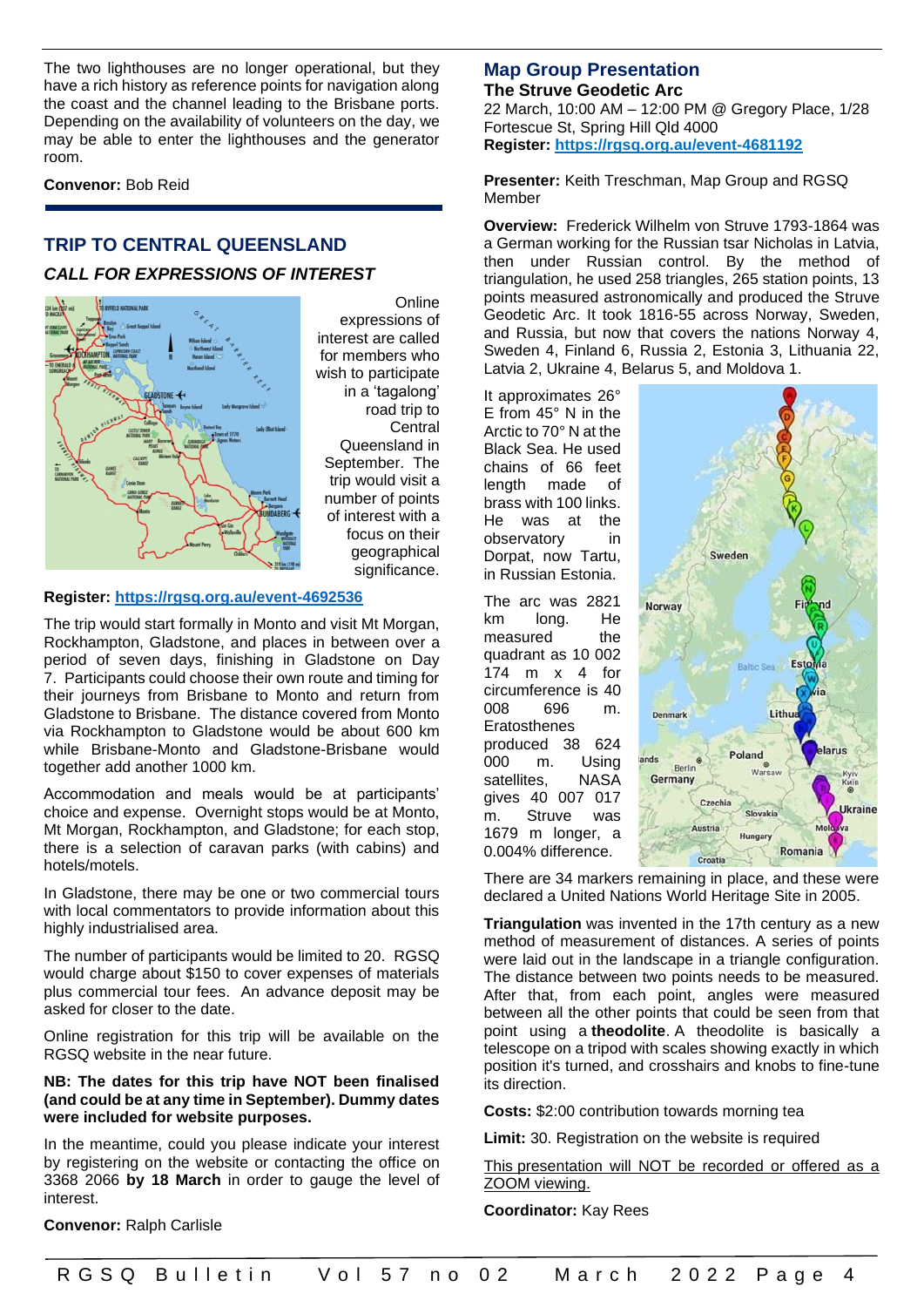The two lighthouses are no longer operational, but they have a rich history as reference points for navigation along the coast and the channel leading to the Brisbane ports. Depending on the availability of volunteers on the day, we may be able to enter the lighthouses and the generator room.

**Convenor:** Bob Reid

## **TRIP TO CENTRAL QUEENSLAND** *CALL FOR EXPRESSIONS OF INTEREST*



**Online** expressions of interest are called for members who wish to participate in a 'tagalong' road trip to **Central** Queensland in September. The trip would visit a number of points of interest with a focus on their geographical significance.

#### **Register:<https://rgsq.org.au/event-4692536>**

The trip would start formally in Monto and visit Mt Morgan, Rockhampton, Gladstone, and places in between over a period of seven days, finishing in Gladstone on Day 7. Participants could choose their own route and timing for their journeys from Brisbane to Monto and return from Gladstone to Brisbane. The distance covered from Monto via Rockhampton to Gladstone would be about 600 km while Brisbane-Monto and Gladstone-Brisbane would together add another 1000 km.

Accommodation and meals would be at participants' choice and expense. Overnight stops would be at Monto, Mt Morgan, Rockhampton, and Gladstone; for each stop, there is a selection of caravan parks (with cabins) and hotels/motels.

In Gladstone, there may be one or two commercial tours with local commentators to provide information about this highly industrialised area.

The number of participants would be limited to 20. RGSQ would charge about \$150 to cover expenses of materials plus commercial tour fees. An advance deposit may be asked for closer to the date.

Online registration for this trip will be available on the RGSQ website in the near future.

#### **NB: The dates for this trip have NOT been finalised (and could be at any time in September). Dummy dates were included for website purposes.**

In the meantime, could you please indicate your interest by registering on the website or contacting the office on 3368 2066 **by 18 March** in order to gauge the level of interest.

**Convenor:** Ralph Carlisle

## **Map Group Presentation The Struve Geodetic Arc**

22 March, 10:00 AM – 12:00 PM @ Gregory Place, 1/28 Fortescue St, Spring Hill Qld 4000 **Register: <https://rgsq.org.au/event-4681192>**

**Presenter:** Keith Treschman, Map Group and RGSQ Member

**Overview:** Frederick Wilhelm von Struve 1793-1864 was a German working for the Russian tsar Nicholas in Latvia, then under Russian control. By the method of triangulation, he used 258 triangles, 265 station points, 13 points measured astronomically and produced the Struve Geodetic Arc. It took 1816-55 across Norway, Sweden, and Russia, but now that covers the nations Norway 4, Sweden 4, Finland 6, Russia 2, Estonia 3, Lithuania 22, Latvia 2, Ukraine 4, Belarus 5, and Moldova 1.

It approximates 26° E from 45° N in the Arctic to 70° N at the Black Sea. He used chains of 66 feet length made of brass with 100 links. He was at the observatory in Dorpat, now Tartu, in Russian Estonia.

The arc was 2821 km long. He measured the quadrant as 10 002 174 m x 4 for circumference is 40 008 696 m. Eratosthenes produced 38 624 000 m. Using satellites. NASA gives 40 007 017 m. Struve was 1679 m longer, a 0.004% difference.



There are 34 markers remaining in place, and these were declared a United Nations World Heritage Site in 2005.

**Triangulation** was invented in the 17th century as a new method of measurement of distances. A series of points were laid out in the landscape in a triangle configuration. The distance between two points needs to be measured. After that, from each point, angles were measured between all the other points that could be seen from that point using a **theodolite**. A theodolite is basically a telescope on a tripod with scales showing exactly in which position it's turned, and crosshairs and knobs to fine-tune its direction.

**Costs:** \$2:00 contribution towards morning tea

**Limit:** 30. Registration on the website is required

This presentation will NOT be recorded or offered as a ZOOM viewing.

**Coordinator:** Kay Rees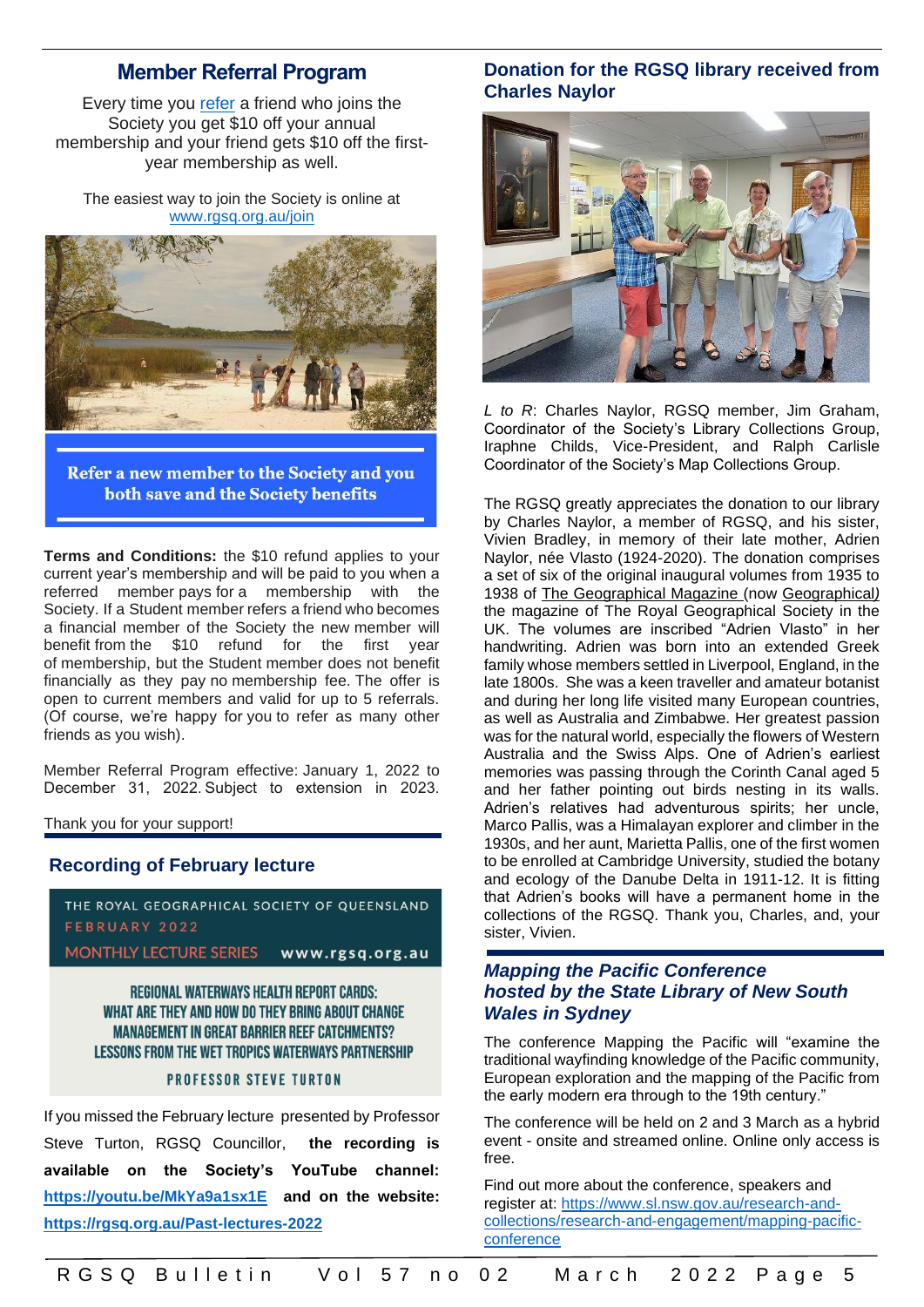## **Member Referral Program**

Every time you [refer](https://rgsq.org.au/join) a friend who joins the Society you get \$10 off your annual membership and your friend gets \$10 off the firstyear membership as well.

The easiest way to join the Society is online at [www.rgsq.org.au/join](https://rgsq.org.au/join)



Refer a new member to the Society and you both save and the Society benefits

**Terms and Conditions:** the \$10 refund applies to your current year's membership and will be paid to you when a referred member pays for a membership with the Society. If a Student member refers a friend who becomes a financial member of the Society the new member will benefit from the \$10 refund for the first year of membership, but the Student member does not benefit financially as they pay no membership fee. The offer is open to current members and valid for up to 5 referrals. (Of course, we're happy for you to refer as many other friends as you wish).

Member Referral Program effective: January 1, 2022 to December 31, 2022. Subject to extension in 2023.

Thank you for your support!

### **Recording of February lecture**



**MONTHLY LECTURE SERIES** www.rgsq.org.au

**REGIONAL WATERWAYS HEALTH REPORT CARDS:** WHAT ARE THEY AND HOW DO THEY BRING ABOUT CHANGE **MANAGEMENT IN GREAT BARRIER REEF CATCHMENTS?** LESSONS FROM THE WET TROPICS WATERWAYS PARTNERSHIP

#### **PROFESSOR STEVE TURTON**

If you missed the February lecture presented by Professor Steve Turton, RGSQ Councillor, **the recording is available on the Society's YouTube channel: <https://youtu.be/MkYa9a1sx1E>and on the website: <https://rgsq.org.au/Past-lectures-2022>**

## **Donation for the RGSQ library received from Charles Naylor**



*L to R*: Charles Naylor, RGSQ member, Jim Graham, Coordinator of the Society's Library Collections Group, Iraphne Childs, Vice-President, and Ralph Carlisle Coordinator of the Society's Map Collections Group.

The RGSQ greatly appreciates the donation to our library by Charles Naylor, a member of RGSQ, and his sister, Vivien Bradley, in memory of their late mother, Adrien Naylor, née Vlasto (1924-2020). The donation comprises a set of six of the original inaugural volumes from 1935 to 1938 of The Geographical Magazine (now Geographical*)* the magazine of The Royal Geographical Society in the UK. The volumes are inscribed "Adrien Vlasto" in her handwriting. Adrien was born into an extended Greek family whose members settled in Liverpool, England, in the late 1800s. She was a keen traveller and amateur botanist and during her long life visited many European countries, as well as Australia and Zimbabwe. Her greatest passion was for the natural world, especially the flowers of Western Australia and the Swiss Alps. One of Adrien's earliest memories was passing through the Corinth Canal aged 5 and her father pointing out birds nesting in its walls. Adrien's relatives had adventurous spirits; her uncle, Marco Pallis, was a Himalayan explorer and climber in the 1930s, and her aunt, Marietta Pallis, one of the first women to be enrolled at Cambridge University, studied the botany and ecology of the Danube Delta in 1911-12. It is fitting that Adrien's books will have a permanent home in the collections of the RGSQ. Thank you, Charles, and, your sister, Vivien.

## *Mapping the Pacific Conference hosted by the State Library of New South Wales in Sydney*

The conference Mapping the Pacific will "examine the traditional wayfinding knowledge of the Pacific community, European exploration and the mapping of the Pacific from the early modern era through to the 19th century."

The conference will be held on 2 and 3 March as a hybrid event - onsite and streamed online. Online only access is free.

Find out more about the conference, speakers and register at: [https://www.sl.nsw.gov.au/research-and](https://www.sl.nsw.gov.au/research-and-collections/research-and-engagement/mapping-pacific-conference)[collections/research-and-engagement/mapping-pacific](https://www.sl.nsw.gov.au/research-and-collections/research-and-engagement/mapping-pacific-conference)[conference](https://www.sl.nsw.gov.au/research-and-collections/research-and-engagement/mapping-pacific-conference)